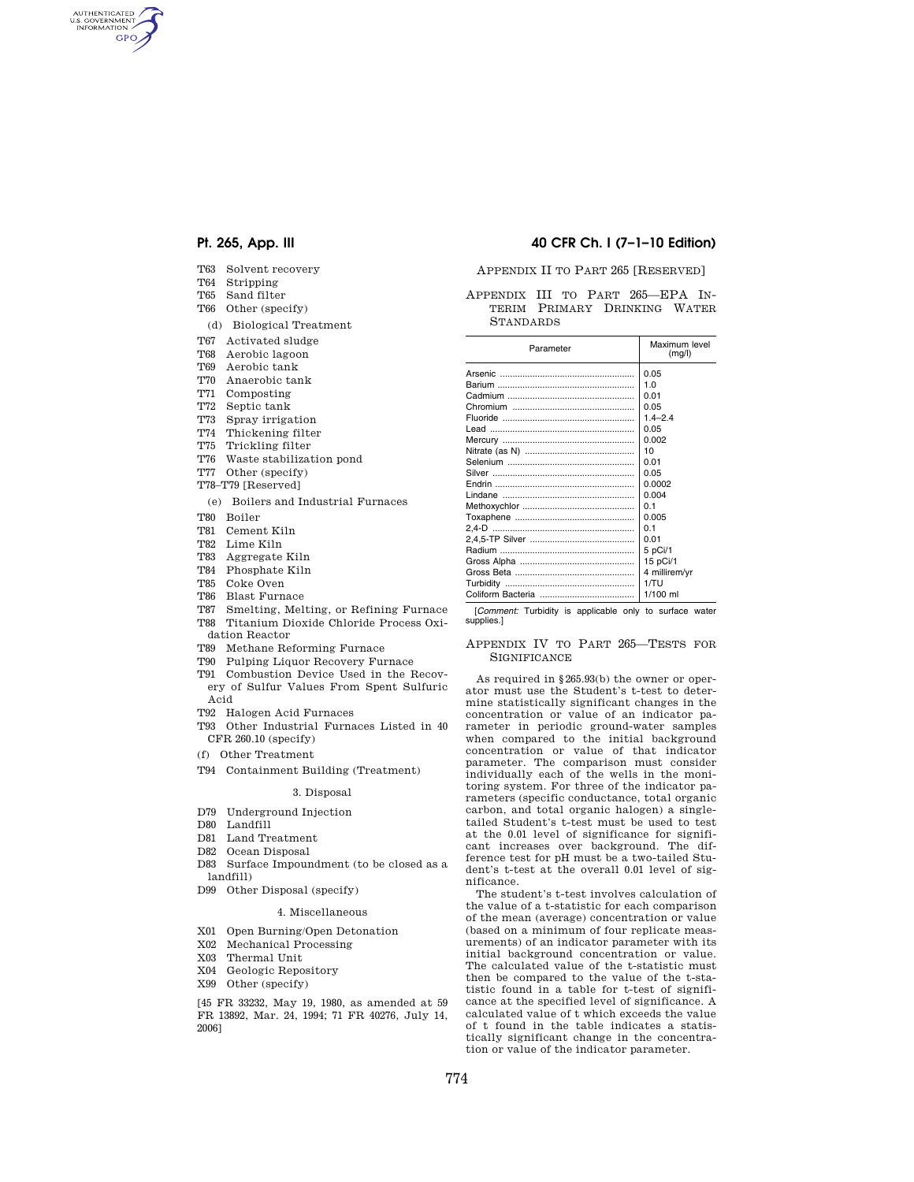AUTHENTICATED<br>U.S. GOVERNMENT<br>INFORMATION **GPO** 

- T63 Solvent recovery
- T64 Stripping
- T65 Sand filter
- T66 Other (specify)
- (d) Biological Treatment
- T67 Activated sludge
- T68 Aerobic lagoon
- T69 Aerobic tank
- T70 Anaerobic tank
- T71 Composting
- T72 Septic tank
- T73 Spray irrigation
- T74 Thickening filter
- T75 Trickling filter
- T76 Waste stabilization pond
- T77 Other (specify)
- T78–T79 [Reserved]
	- (e) Boilers and Industrial Furnaces
- T80 Boiler
- T81 Cement Kiln
- T82 Lime Kiln
- T83 Aggregate Kiln
- T84 Phosphate Kiln
- T85 Coke Oven
- T86 Blast Furnace
- T87 Smelting, Melting, or Refining Furnace T88 Titanium Dioxide Chloride Process Oxidation Reactor
- T89 Methane Reforming Furnace
- T90 Pulping Liquor Recovery Furnace
- T91 Combustion Device Used in the Recovery of Sulfur Values From Spent Sulfuric
- Acid T92 Halogen Acid Furnaces
- 
- T93 Other Industrial Furnaces Listed in 40 CFR 260.10 (specify)
- (f) Other Treatment
- T94 Containment Building (Treatment)

#### 3. Disposal

- D79 Underground Injection
- D80 Landfill
- D81 Land Treatment
- D82 Ocean Disposal
- D83 Surface Impoundment (to be closed as a landfill)
- D99 Other Disposal (specify)

#### 4. Miscellaneous

- X01 Open Burning/Open Detonation
- X02 Mechanical Processing
- X03 Thermal Unit
- X04 Geologic Repository
- X99 Other (specify)

[45 FR 33232, May 19, 1980, as amended at 59 FR 13892, Mar. 24, 1994; 71 FR 40276, July 14, 2006]

## **Pt. 265, App. III 40 CFR Ch. I (7–1–10 Edition)**

### APPENDIX II TO PART 265 [RESERVED]

APPENDIX III TO PART 265—EPA IN-TERIM PRIMARY DRINKING WATER STANDARDS

| Parameter | Maximum level<br>(mq/l) |
|-----------|-------------------------|
|           | 0.05                    |
|           | 1.0                     |
|           | 0.01                    |
|           | 0.05                    |
|           | $1.4 - 2.4$             |
|           | 0.05                    |
|           | 0.002                   |
|           | 10                      |
|           | 0.01                    |
|           | 0.05                    |
|           | 0.0002                  |
|           | 0.004                   |
|           | O 1                     |
|           | 0.005                   |
|           | 0 <sub>1</sub>          |
|           | 0.01                    |
|           | 5 pCi/1                 |
|           | 15 pCi/1                |
|           | 4 millirem/vr           |
|           | 1/TU                    |
|           | $1/100$ ml              |

[*Comment:* Turbidity is applicable only to surface water supplies.]

### APPENDIX IV TO PART 265—TESTS FOR **SIGNIFICANCE**

As required in §265.93(b) the owner or operator must use the Student's t-test to determine statistically significant changes in the concentration or value of an indicator parameter in periodic ground-water samples when compared to the initial background concentration or value of that indicator parameter. The comparison must consider individually each of the wells in the monitoring system. For three of the indicator parameters (specific conductance, total organic carbon, and total organic halogen) a singletailed Student's t-test must be used to test at the 0.01 level of significance for significant increases over background. The difference test for pH must be a two-tailed Student's t-test at the overall 0.01 level of significance.

The student's t-test involves calculation of the value of a t-statistic for each comparison of the mean (average) concentration or value (based on a minimum of four replicate measurements) of an indicator parameter with its initial background concentration or value. The calculated value of the t-statistic must then be compared to the value of the t-statistic found in a table for t-test of significance at the specified level of significance. A calculated value of t which exceeds the value of t found in the table indicates a statistically significant change in the concentration or value of the indicator parameter.